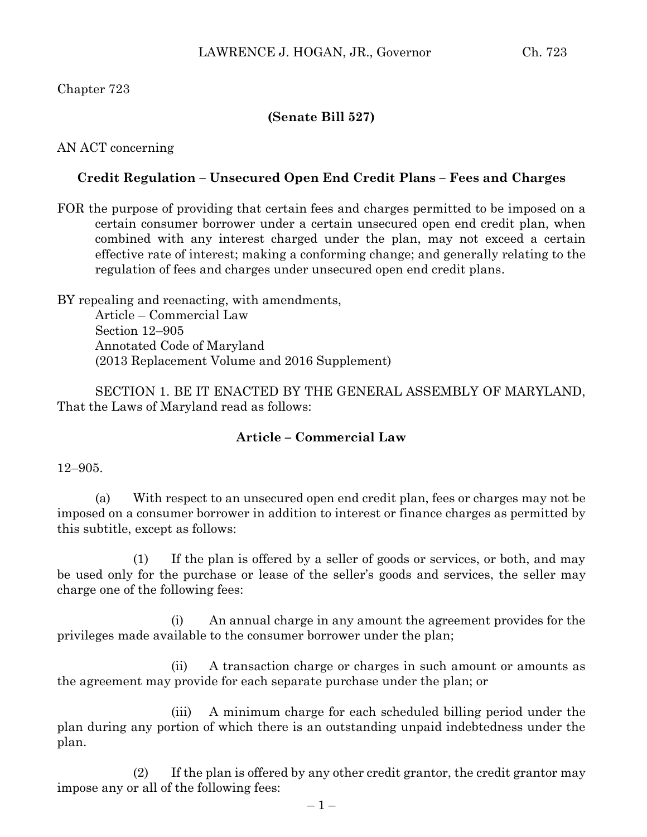# **(Senate Bill 527)**

# AN ACT concerning

# **Credit Regulation – Unsecured Open End Credit Plans – Fees and Charges**

FOR the purpose of providing that certain fees and charges permitted to be imposed on a certain consumer borrower under a certain unsecured open end credit plan, when combined with any interest charged under the plan, may not exceed a certain effective rate of interest; making a conforming change; and generally relating to the regulation of fees and charges under unsecured open end credit plans.

BY repealing and reenacting, with amendments, Article – Commercial Law Section 12–905 Annotated Code of Maryland (2013 Replacement Volume and 2016 Supplement)

SECTION 1. BE IT ENACTED BY THE GENERAL ASSEMBLY OF MARYLAND, That the Laws of Maryland read as follows:

### **Article – Commercial Law**

### 12–905.

(a) With respect to an unsecured open end credit plan, fees or charges may not be imposed on a consumer borrower in addition to interest or finance charges as permitted by this subtitle, except as follows:

(1) If the plan is offered by a seller of goods or services, or both, and may be used only for the purchase or lease of the seller's goods and services, the seller may charge one of the following fees:

(i) An annual charge in any amount the agreement provides for the privileges made available to the consumer borrower under the plan;

(ii) A transaction charge or charges in such amount or amounts as the agreement may provide for each separate purchase under the plan; or

(iii) A minimum charge for each scheduled billing period under the plan during any portion of which there is an outstanding unpaid indebtedness under the plan.

(2) If the plan is offered by any other credit grantor, the credit grantor may impose any or all of the following fees: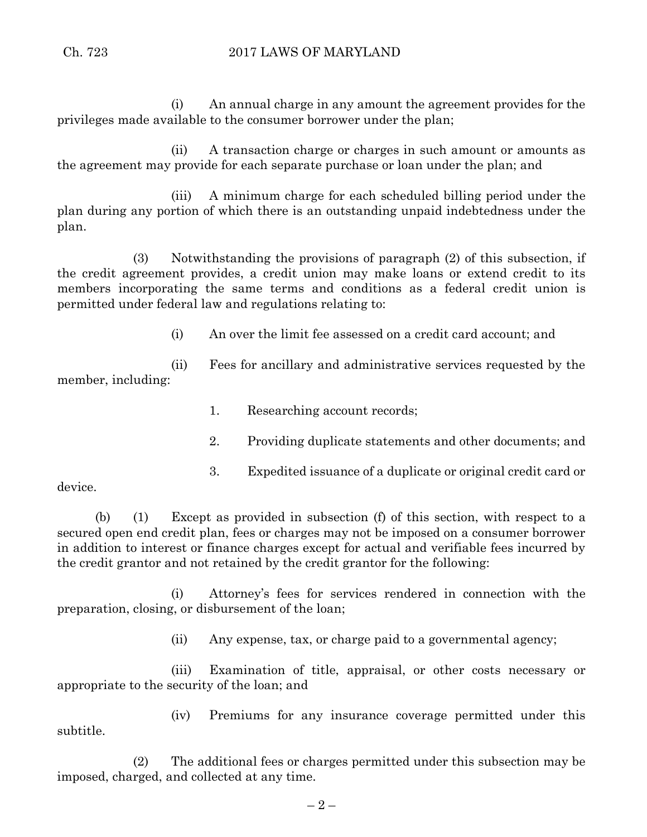(i) An annual charge in any amount the agreement provides for the privileges made available to the consumer borrower under the plan;

(ii) A transaction charge or charges in such amount or amounts as the agreement may provide for each separate purchase or loan under the plan; and

(iii) A minimum charge for each scheduled billing period under the plan during any portion of which there is an outstanding unpaid indebtedness under the plan.

(3) Notwithstanding the provisions of paragraph (2) of this subsection, if the credit agreement provides, a credit union may make loans or extend credit to its members incorporating the same terms and conditions as a federal credit union is permitted under federal law and regulations relating to:

(i) An over the limit fee assessed on a credit card account; and

(ii) Fees for ancillary and administrative services requested by the member, including:

1. Researching account records;

- 2. Providing duplicate statements and other documents; and
- 3. Expedited issuance of a duplicate or original credit card or

device.

(b) (1) Except as provided in subsection (f) of this section, with respect to a secured open end credit plan, fees or charges may not be imposed on a consumer borrower in addition to interest or finance charges except for actual and verifiable fees incurred by the credit grantor and not retained by the credit grantor for the following:

(i) Attorney's fees for services rendered in connection with the preparation, closing, or disbursement of the loan;

(ii) Any expense, tax, or charge paid to a governmental agency;

(iii) Examination of title, appraisal, or other costs necessary or appropriate to the security of the loan; and

(iv) Premiums for any insurance coverage permitted under this subtitle.

(2) The additional fees or charges permitted under this subsection may be imposed, charged, and collected at any time.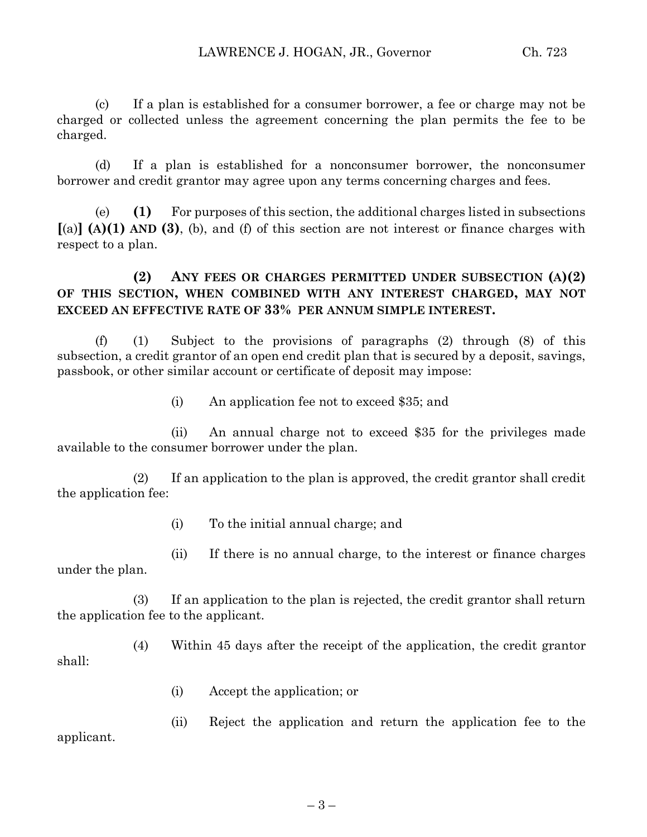(c) If a plan is established for a consumer borrower, a fee or charge may not be charged or collected unless the agreement concerning the plan permits the fee to be charged.

(d) If a plan is established for a nonconsumer borrower, the nonconsumer borrower and credit grantor may agree upon any terms concerning charges and fees.

(e) **(1)** For purposes of this section, the additional charges listed in subsections **[**(a)**] (A)(1) AND (3)**, (b), and (f) of this section are not interest or finance charges with respect to a plan.

# **(2) ANY FEES OR CHARGES PERMITTED UNDER SUBSECTION (A)(2) OF THIS SECTION, WHEN COMBINED WITH ANY INTEREST CHARGED, MAY NOT EXCEED AN EFFECTIVE RATE OF 33% PER ANNUM SIMPLE INTEREST.**

(f) (1) Subject to the provisions of paragraphs (2) through (8) of this subsection, a credit grantor of an open end credit plan that is secured by a deposit, savings, passbook, or other similar account or certificate of deposit may impose:

(i) An application fee not to exceed \$35; and

(ii) An annual charge not to exceed \$35 for the privileges made available to the consumer borrower under the plan.

(2) If an application to the plan is approved, the credit grantor shall credit the application fee:

(i) To the initial annual charge; and

(ii) If there is no annual charge, to the interest or finance charges under the plan.

(3) If an application to the plan is rejected, the credit grantor shall return the application fee to the applicant.

(4) Within 45 days after the receipt of the application, the credit grantor shall:

(i) Accept the application; or

(ii) Reject the application and return the application fee to the applicant.